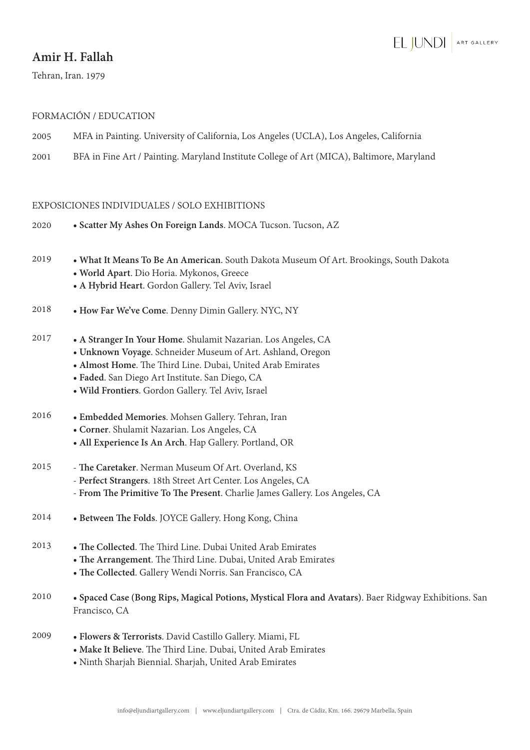# EL JUNDI ART GALLERY

## **Amir H. Fallah**

Tehran, Iran. 1979

### FORMACIÓN / EDUCATION

- 2005 MFA in Painting. University of California, Los Angeles (UCLA), Los Angeles, California
- 2001 BFA in Fine Art / Painting. Maryland Institute College of Art (MICA), Baltimore, Maryland

### EXPOSICIONES INDIVIDUALES / SOLO EXHIBITIONS

- 2020 **Scatter My Ashes On Foreign Lands**. MOCA Tucson. Tucson, AZ
- 2019 **What It Means To Be An American**. South Dakota Museum Of Art. Brookings, South Dakota
	- **World Apart**. Dio Horia. Mykonos, Greece
	- **A Hybrid Heart**. Gordon Gallery. Tel Aviv, Israel
- 2018 **How Far We've Come**. Denny Dimin Gallery. NYC, NY
- 2017 **A Stranger In Your Home**. Shulamit Nazarian. Los Angeles, CA
	- **Unknown Voyage**. Schneider Museum of Art. Ashland, Oregon
	- **Almost Home**. The Third Line. Dubai, United Arab Emirates
	- **Faded**. San Diego Art Institute. San Diego, CA
	- **Wild Frontiers**. Gordon Gallery. Tel Aviv, Israel
- 2016 **Embedded Memories**. Mohsen Gallery. Tehran, Iran
	- **Corner**. Shulamit Nazarian. Los Angeles, CA
	- **All Experience Is An Arch**. Hap Gallery. Portland, OR
- 2015 **The Caretaker**. Nerman Museum Of Art. Overland, KS
	- **Perfect Strangers**. 18th Street Art Center. Los Angeles, CA
	- **From The Primitive To The Present**. Charlie James Gallery. Los Angeles, CA
- 2014 **Between The Folds**. JOYCE Gallery. Hong Kong, China
- 2013 **The Collected**. The Third Line. Dubai United Arab Emirates
	- **The Arrangement**. The Third Line. Dubai, United Arab Emirates
		- **The Collected**. Gallery Wendi Norris. San Francisco, CA
- 2010 • **Spaced Case (Bong Rips, Magical Potions, Mystical Flora and Avatars)**. Baer Ridgway Exhibitions. San Francisco, CA
- 2009 **Flowers & Terrorists**. David Castillo Gallery. Miami, FL
	- **Make It Believe**. The Third Line. Dubai, United Arab Emirates
	- Ninth Sharjah Biennial. Sharjah, United Arab Emirates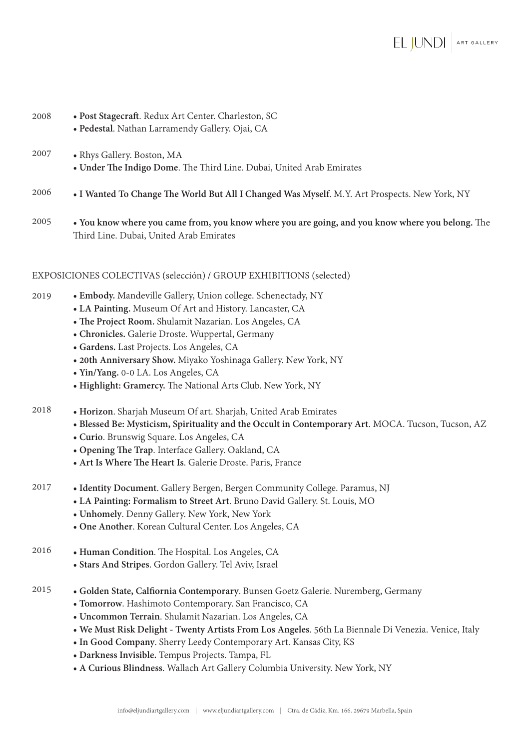| 2008 | • Post Stagecraft. Redux Art Center. Charleston, SC<br>· Pedestal. Nathan Larramendy Gallery. Ojai, CA |
|------|--------------------------------------------------------------------------------------------------------|
| 2007 | • Rhys Gallery. Boston, MA<br>• Under The Indigo Dome. The Third Line. Dubai, United Arab Emirates     |
| 2006 | • I Wanted To Change The World But All I Changed Was Myself. M.Y. Art Prospects. New York, NY          |
| 200E |                                                                                                        |

2005 • **You know where you came from, you know where you are going, and you know where you belong.** The Third Line. Dubai, United Arab Emirates

### EXPOSICIONES COLECTIVAS (selección) / GROUP EXHIBITIONS (selected)

- **Embody.** Mandeville Gallery, Union college. Schenectady, NY 2019
	- **LA Painting.** Museum Of Art and History. Lancaster, CA
	- **The Project Room.** Shulamit Nazarian. Los Angeles, CA
	- **Chronicles.** Galerie Droste. Wuppertal, Germany
	- **Gardens.** Last Projects. Los Angeles, CA
	- **20th Anniversary Show.** Miyako Yoshinaga Gallery. New York, NY
	- **Yin/Yang.** 0-0 LA. Los Angeles, CA

- **Highlight: Gramercy.** The National Arts Club. New York, NY
- 2018 **Horizon**. Sharjah Museum Of art. Sharjah, United Arab Emirates
	- **Blessed Be: Mysticism, Spirituality and the Occult in Contemporary Art**. MOCA. Tucson, Tucson, AZ
	- **Curio**. Brunswig Square. Los Angeles, CA
	- **Opening The Trap**. Interface Gallery. Oakland, CA
	- • **Art Is Where The Heart Is**. Galerie Droste. Paris, France
- 2017 • **Identity Document**. Gallery Bergen, Bergen Community College. Paramus, NJ
	- **LA Painting: Formalism to Street Art**. Bruno David Gallery. St. Louis, MO
	- **Unhomely**. Denny Gallery. New York, New York
	- **One Another**. Korean Cultural Center. Los Angeles, CA
- 2016 **Human Condition**. The Hospital. Los Angeles, CA
	- **Stars And Stripes**. Gordon Gallery. Tel Aviv, Israel
- 2015 **Golden State, Calfiornia Contemporary**. Bunsen Goetz Galerie. Nuremberg, Germany
	- • **Tomorrow**. Hashimoto Contemporary. San Francisco, CA
	- **Uncommon Terrain**. Shulamit Nazarian. Los Angeles, CA
	- **We Must Risk Delight Twenty Artists From Los Angeles**. 56th La Biennale Di Venezia. Venice, Italy
	- **In Good Company**. Sherry Leedy Contemporary Art. Kansas City, KS
	- **Darkness Invisible.** Tempus Projects. Tampa, FL
	- **A Curious Blindness**. Wallach Art Gallery Columbia University. New York, NY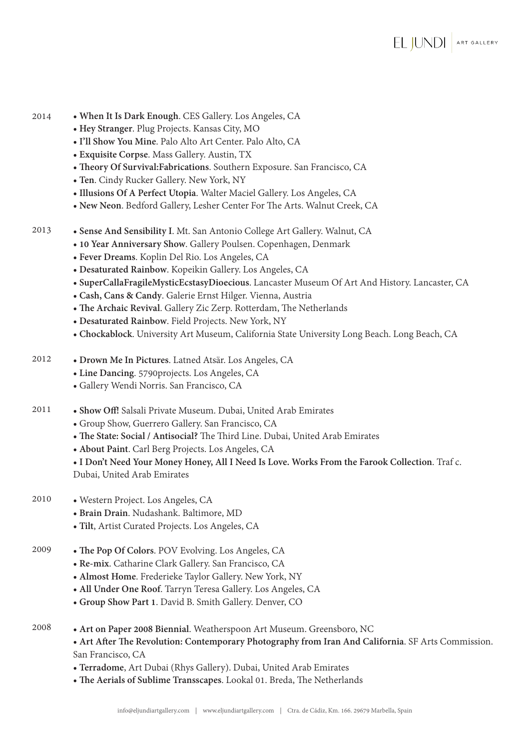- **When It Is Dark Enough**. CES Gallery. Los Angeles, CA 2014
	- **Hey Stranger**. Plug Projects. Kansas City, MO
	- **I'll Show You Mine**. Palo Alto Art Center. Palo Alto, CA
	- **Exquisite Corpse**. Mass Gallery. Austin, TX
	- **Theory Of Survival:Fabrications**. Southern Exposure. San Francisco, CA
	- **Ten**. Cindy Rucker Gallery. New York, NY
	- **Illusions Of A Perfect Utopia**. Walter Maciel Gallery. Los Angeles, CA
	- **New Neon**. Bedford Gallery, Lesher Center For The Arts. Walnut Creek, CA
- 2013 **Sense And Sensibility I**. Mt. San Antonio College Art Gallery. Walnut, CA
	- **10 Year Anniversary Show**. Gallery Poulsen. Copenhagen, Denmark
	- **Fever Dreams**. Koplin Del Rio. Los Angeles, CA
	- **Desaturated Rainbow**. Kopeikin Gallery. Los Angeles, CA
	- **SuperCallaFragileMysticEcstasyDioecious**. Lancaster Museum Of Art And History. Lancaster, CA
	- **Cash, Cans & Candy**. Galerie Ernst Hilger. Vienna, Austria
	- **The Archaic Revival**. Gallery Zic Zerp. Rotterdam, The Netherlands
	- **Desaturated Rainbow**. Field Projects. New York, NY
	- **Chockablock**. University Art Museum, California State University Long Beach. Long Beach, CA
- 2012 **Drown Me In Pictures**. Latned Atsär. Los Angeles, CA
	- **Line Dancing**. 5790projects. Los Angeles, CA
	- Gallery Wendi Norris. San Francisco, CA
- 2011 **Show Off!** Salsali Private Museum. Dubai, United Arab Emirates
	- Group Show, Guerrero Gallery. San Francisco, CA
	- **The State: Social / Antisocial?** The Third Line. Dubai, United Arab Emirates
	- **About Paint**. Carl Berg Projects. Los Angeles, CA

• **I Don't Need Your Money Honey, All I Need Is Love. Works From the Farook Collection**. Traf c. Dubai, United Arab Emirates

- 2010 Western Project. Los Angeles, CA
	- **Brain Drain**. Nudashank. Baltimore, MD
	- **Tilt**, Artist Curated Projects. Los Angeles, CA
- 2009 **The Pop Of Colors**. POV Evolving. Los Angeles, CA
	- **Re-mix**. Catharine Clark Gallery. San Francisco, CA
	- **Almost Home**. Frederieke Taylor Gallery. New York, NY
	- **All Under One Roof**. Tarryn Teresa Gallery. Los Angeles, CA
	- **Group Show Part 1**. David B. Smith Gallery. Denver, CO
- 2008 **Art on Paper 2008 Biennial**. Weatherspoon Art Museum. Greensboro, NC
	- **Art After The Revolution: Contemporary Photography from Iran And California**. SF Arts Commission. San Francisco, CA
	- **Terradome**, Art Dubai (Rhys Gallery). Dubai, United Arab Emirates
	- **The Aerials of Sublime Transscapes**. Lookal 01. Breda, The Netherlands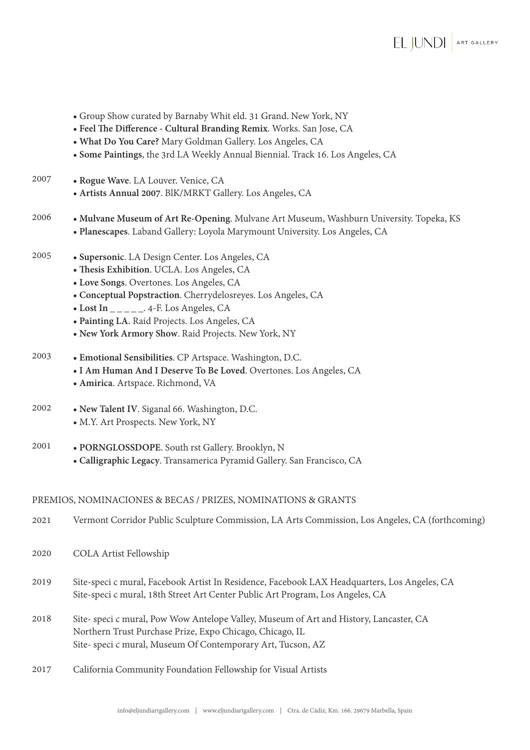- Group Show curated by Barnaby Whit eld. 31 Grand. New York, NY
- **Feel The Difference Cultural Branding Remix**. Works. San Jose, CA
- **What Do You Care?** Mary Goldman Gallery. Los Angeles, CA
- **Some Paintings**, the 3rd LA Weekly Annual Biennial. Track 16. Los Angeles, CA
- 2007 **Rogue Wave**. LA Louver. Venice, CA
	- • **Artists Annual 2007**. BlK/MRKT Gallery. Los Angeles, CA
- 2006 **Mulvane Museum of Art Re-Opening**. Mulvane Art Museum, Washburn University. Topeka, KS • **Planescapes**. Laband Gallery: Loyola Marymount University. Los Angeles, CA
- 2005 **Supersonic**. LA Design Center. Los Angeles, CA
	- **Thesis Exhibition**. UCLA. Los Angeles, CA
	- **Love Songs**. Overtones. Los Angeles, CA
	- **Conceptual Popstraction**. Cherrydelosreyes. Los Angeles, CA
	- **Lost In \_ \_ \_ \_ \_**. 4-F. Los Angeles, CA
	- **Painting LA**. Raid Projects. Los Angeles, CA
	- **New York Armory Show**. Raid Projects. New York, NY
- 2003 **Emotional Sensibilities**. CP Artspace. Washington, D.C.
	- **I Am Human And I Deserve To Be Loved**. Overtones. Los Angeles, CA
	- **Amirica**. Artspace. Richmond, VA
- 2002 **New Talent IV**. Siganal 66. Washington, D.C. • M.Y. Art Prospects. New York, NY
- 2001 **PORNGLOSSDOPE**. South rst Gallery. Brooklyn, N
	- **Calligraphic Legacy**. Transamerica Pyramid Gallery. San Francisco, CA

#### PREMIOS, NOMINACIONES & BECAS / PRIZES, NOMINATIONS & GRANTS

- 2021 Vermont Corridor Public Sculpture Commission, LA Arts Commission, Los Angeles, CA (forthcoming)
- 2020 COLA Artist Fellowship
- 2019 Site-speci c mural, Facebook Artist In Residence, Facebook LAX Headquarters, Los Angeles, CA Site-speci c mural, 18th Street Art Center Public Art Program, Los Angeles, CA
- 2018 Site- speci c mural, Pow Wow Antelope Valley, Museum of Art and History, Lancaster, CA Northern Trust Purchase Prize, Expo Chicago, Chicago, IL Site- speci c mural, Museum Of Contemporary Art, Tucson, AZ
- 2017 California Community Foundation Fellowship for Visual Artists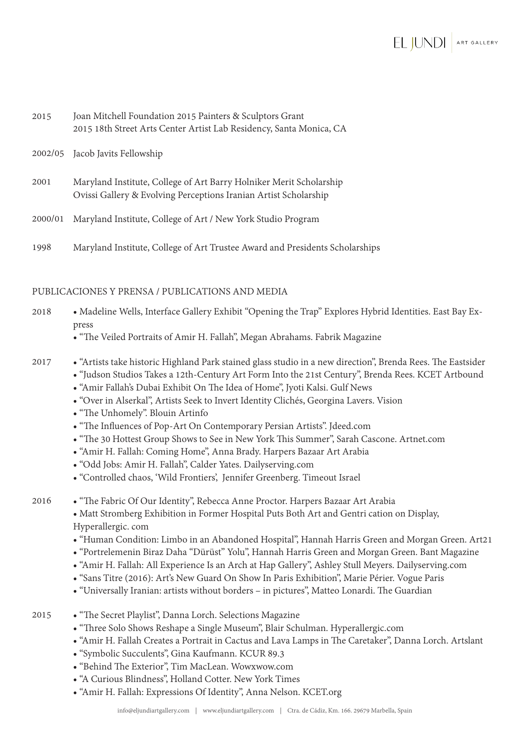| 2015    | Joan Mitchell Foundation 2015 Painters & Sculptors Grant<br>2015 18th Street Arts Center Artist Lab Residency, Santa Monica, CA         |
|---------|-----------------------------------------------------------------------------------------------------------------------------------------|
|         | 2002/05 Jacob Javits Fellowship                                                                                                         |
| 2001    | Maryland Institute, College of Art Barry Holniker Merit Scholarship<br>Ovissi Gallery & Evolving Perceptions Iranian Artist Scholarship |
| 2000/01 | Maryland Institute, College of Art / New York Studio Program                                                                            |

1998 Maryland Institute, College of Art Trustee Award and Presidents Scholarships

### PUBLICACIONES Y PRENSA / PUBLICATIONS AND MEDIA

- Madeline Wells, Interface Gallery Exhibit "Opening the Trap" Explores Hybrid Identities. East Bay Express 2018
	- "The Veiled Portraits of Amir H. Fallah", Megan Abrahams. Fabrik Magazine
- 2017 "Artists take historic Highland Park stained glass studio in a new direction", Brenda Rees. The Eastsider
	- "Judson Studios Takes a 12th-Century Art Form Into the 21st Century", Brenda Rees. KCET Artbound
	- "Amir Fallah's Dubai Exhibit On The Idea of Home", Jyoti Kalsi. Gulf News
	- "Over in Alserkal", Artists Seek to Invert Identity Clichés, Georgina Lavers. Vision
	- "The Unhomely". Blouin Artinfo
	- "The Influences of Pop-Art On Contemporary Persian Artists". Jdeed.com
	- "The 30 Hottest Group Shows to See in New York This Summer", Sarah Cascone. Artnet.com
	- "Amir H. Fallah: Coming Home", Anna Brady. Harpers Bazaar Art Arabia
	- "Odd Jobs: Amir H. Fallah", Calder Yates. Dailyserving.com
	- "Controlled chaos, 'Wild Frontiers', Jennifer Greenberg. Timeout Israel
- 2016 "The Fabric Of Our Identity", Rebecca Anne Proctor. Harpers Bazaar Art Arabia • Matt Stromberg Exhibition in Former Hospital Puts Both Art and Gentri cation on Display, Hyperallergic. com
	- "Human Condition: Limbo in an Abandoned Hospital", Hannah Harris Green and Morgan Green. Art21
	- "Portrelemenin Biraz Daha "Dürüst" Yolu", Hannah Harris Green and Morgan Green. Bant Magazine
	- "Amir H. Fallah: All Experience Is an Arch at Hap Gallery", Ashley Stull Meyers. Dailyserving.com
	- "Sans Titre (2016): Art's New Guard On Show In Paris Exhibition", Marie Périer. Vogue Paris
	- "Universally Iranian: artists without borders in pictures", Matteo Lonardi. The Guardian
- 2015 "The Secret Playlist", Danna Lorch. Selections Magazine
	- "Three Solo Shows Reshape a Single Museum", Blair Schulman. Hyperallergic.com
	- "Amir H. Fallah Creates a Portrait in Cactus and Lava Lamps in The Caretaker", Danna Lorch. Artslant
	- "Symbolic Succulents", Gina Kaufmann. KCUR 89.3
	- "Behind The Exterior", Tim MacLean. Wowxwow.com
	- "A Curious Blindness", Holland Cotter. New York Times
	- "Amir H. Fallah: Expressions Of Identity", Anna Nelson. KCET.org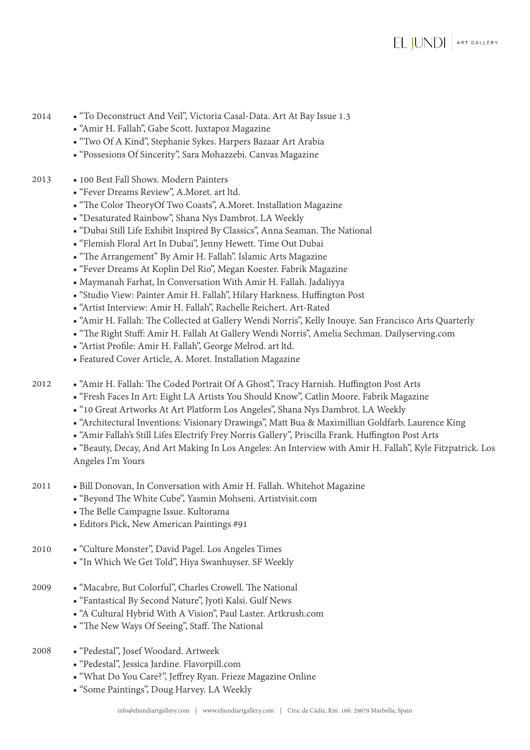- "To Deconstruct And Veil", Victoria Casal-Data. Art At Bay Issue 1.3 2014
	- "Amir H. Fallah", Gabe Scott. Juxtapoz Magazine
	- "Two Of A Kind", Stephanie Sykes. Harpers Bazaar Art Arabia
	- "Possesions Of Sincerity", Sara Mohazzebi. Canvas Magazine
- 2013 100 Best Fall Shows. Modern Painters
	- "Fever Dreams Review", A.Moret. art ltd.
	- "The Color TheoryOf Two Coasts", A.Moret. Installation Magazine
	- "Desaturated Rainbow", Shana Nys Dambrot. LA Weekly
	- "Dubai Still Life Exhibit Inspired By Classics", Anna Seaman. The National
	- "Flemish Floral Art In Dubai", Jenny Hewett. Time Out Dubai
	- "The Arrangement" By Amir H. Fallah". Islamic Arts Magazine
	- "Fever Dreams At Koplin Del Rio", Megan Koester. Fabrik Magazine
	- Maymanah Farhat, In Conversation With Amir H. Fallah. Jadaliyya
	- "Studio View: Painter Amir H. Fallah", Hilary Harkness. Huffington Post
	- "Artist Interview: Amir H. Fallah", Rachelle Reichert. Art-Rated
	- "Amir H. Fallah: The Collected at Gallery Wendi Norris", Kelly Inouye. San Francisco Arts Quarterly
	- "The Right Stuff: Amir H. Fallah At Gallery Wendi Norris", Amelia Sechman. Dailyserving.com
	- "Artist Profile: Amir H. Fallah", George Melrod. art ltd.
	- Featured Cover Article, A. Moret. Installation Magazine
- 2012 "Amir H. Fallah: The Coded Portrait Of A Ghost", Tracy Harnish. Huffington Post Arts
	- "Fresh Faces In Art: Eight LA Artists You Should Know", Catlin Moore. Fabrik Magazine
	- "10 Great Artworks At Art Platform Los Angeles", Shana Nys Dambrot. LA Weekly
	- "Architectural Inventions: Visionary Drawings", Matt Bua & Maximillian Goldfarb. Laurence King
	- "Amir Fallah's Still Lifes Electrify Frey Norris Gallery", Priscilla Frank. Huffington Post Arts
	- "Beauty, Decay, And Art Making In Los Angeles: An Interview with Amir H. Fallah", Kyle Fitzpatrick. Los Angeles I'm Yours
- 2011 Bill Donovan, In Conversation with Amir H. Fallah. Whitehot Magazine
	- "Beyond The White Cube", Yasmin Mohseni. Artistvisit.com
	- The Belle Campagne Issue. Kultorama
	- Editors Pick, New American Paintings #91
- 2010 "Culture Monster", David Pagel. Los Angeles Times
	- "In Which We Get Told", Hiya Swanhuyser. SF Weekly
- 2009 "Macabre, But Colorful", Charles Crowell. The National
	- "Fantastical By Second Nature", Jyoti Kalsi. Gulf News
	- "A Cultural Hybrid With A Vision", Paul Laster. Artkrush.com
	- "The New Ways Of Seeing", Staff. The National
- 2008 "Pedestal", Josef Woodard. Artweek
	- "Pedestal", Jessica Jardine. Flavorpill.com
	- "What Do You Care?", Jeffrey Ryan. Frieze Magazine Online
	- "Some Paintings", Doug Harvey. LA Weekly